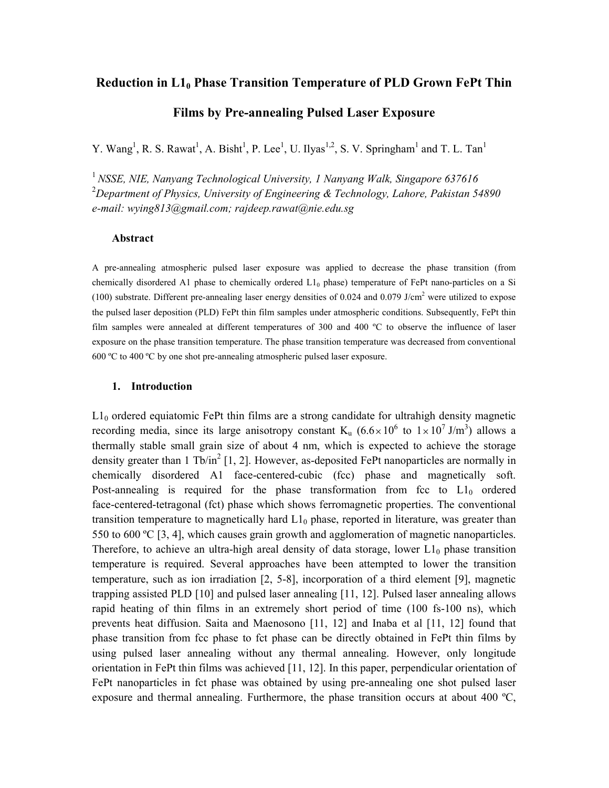# **Reduction in L10 Phase Transition Temperature of PLD Grown FePt Thin**

# **Films by Pre-annealing Pulsed Laser Exposure**

Y. Wang<sup>1</sup>, R. S. Rawat<sup>1</sup>, A. Bisht<sup>1</sup>, P. Lee<sup>1</sup>, U. Ilyas<sup>1,2</sup>, S. V. Springham<sup>1</sup> and T. L. Tan<sup>1</sup>

<sup>1</sup>*NSSE, NIE, Nanyang Technological University, 1 Nanyang Walk, Singapore 637616*  <sup>2</sup>*Department of Physics, University of Engineering & Technology, Lahore, Pakistan 54890 e-mail: wying813@gmail.com; rajdeep.rawat@nie.edu.sg*

# **Abstract**

A pre-annealing atmospheric pulsed laser exposure was applied to decrease the phase transition (from chemically disordered A1 phase to chemically ordered  $L1_0$  phase) temperature of FePt nano-particles on a Si (100) substrate. Different pre-annealing laser energy densities of  $0.024$  and  $0.079$  J/cm<sup>2</sup> were utilized to expose the pulsed laser deposition (PLD) FePt thin film samples under atmospheric conditions. Subsequently, FePt thin film samples were annealed at different temperatures of 300 and 400 ºC to observe the influence of laser exposure on the phase transition temperature. The phase transition temperature was decreased from conventional 600 ºC to 400 ºC by one shot pre-annealing atmospheric pulsed laser exposure.

### **1. Introduction**

 $L1_0$  ordered equiatomic FePt thin films are a strong candidate for ultrahigh density magnetic recording media, since its large anisotropy constant K<sub>u</sub>  $(6.6 \times 10^6$  to  $1 \times 10^7$  J/m<sup>3</sup>) allows a thermally stable small grain size of about 4 nm, which is expected to achieve the storage density greater than 1 Tb/in<sup>2</sup> [1, 2]. However, as-deposited FePt nanoparticles are normally in chemically disordered A1 face-centered-cubic (fcc) phase and magnetically soft. Post-annealing is required for the phase transformation from fcc to  $L1_0$  ordered face-centered-tetragonal (fct) phase which shows ferromagnetic properties. The conventional transition temperature to magnetically hard  $L1_0$  phase, reported in literature, was greater than 550 to 600 ºC [3, 4], which causes grain growth and agglomeration of magnetic nanoparticles. Therefore, to achieve an ultra-high areal density of data storage, lower  $L1_0$  phase transition temperature is required. Several approaches have been attempted to lower the transition temperature, such as ion irradiation [2, 5-8], incorporation of a third element [9], magnetic trapping assisted PLD [10] and pulsed laser annealing [11, 12]. Pulsed laser annealing allows rapid heating of thin films in an extremely short period of time (100 fs-100 ns), which prevents heat diffusion. Saita and Maenosono [11, 12] and Inaba et al [11, 12] found that phase transition from fcc phase to fct phase can be directly obtained in FePt thin films by using pulsed laser annealing without any thermal annealing. However, only longitude orientation in FePt thin films was achieved [11, 12]. In this paper, perpendicular orientation of FePt nanoparticles in fct phase was obtained by using pre-annealing one shot pulsed laser exposure and thermal annealing. Furthermore, the phase transition occurs at about 400 ºC,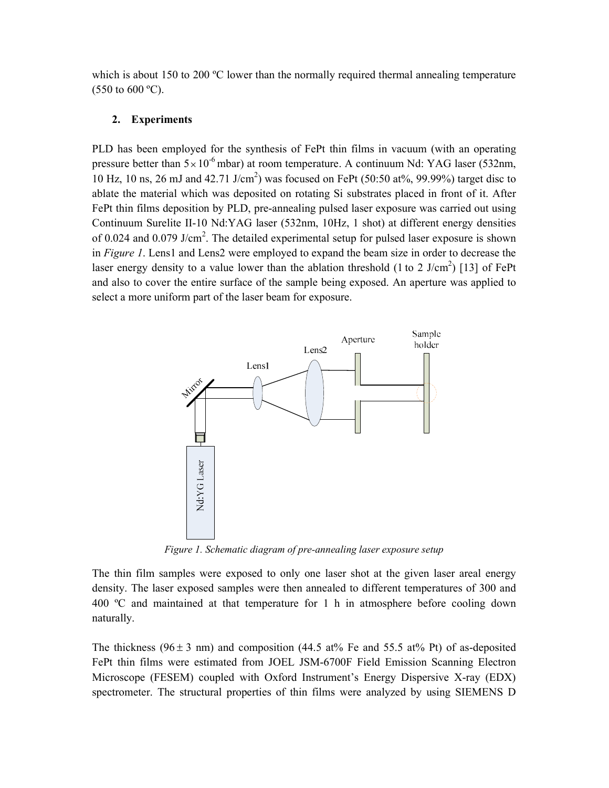which is about 150 to 200  $^{\circ}$ C lower than the normally required thermal annealing temperature  $(550 \text{ to } 600 \text{ °C})$ .

# **2. Experiments**

PLD has been employed for the synthesis of FePt thin films in vacuum (with an operating pressure better than  $5 \times 10^{-6}$  mbar) at room temperature. A continuum Nd: YAG laser (532nm, 10 Hz, 10 ns, 26 mJ and 42.71 J/cm<sup>2</sup>) was focused on FePt (50:50 at%, 99.99%) target disc to ablate the material which was deposited on rotating Si substrates placed in front of it. After FePt thin films deposition by PLD, pre-annealing pulsed laser exposure was carried out using Continuum Surelite II-10 Nd:YAG laser (532nm, 10Hz, 1 shot) at different energy densities of 0.024 and 0.079 J/cm<sup>2</sup>. The detailed experimental setup for pulsed laser exposure is shown in *Figure 1*. Lens1 and Lens2 were employed to expand the beam size in order to decrease the laser energy density to a value lower than the ablation threshold  $(1 \text{ to } 2 \text{ J/cm}^2)$  [13] of FePt and also to cover the entire surface of the sample being exposed. An aperture was applied to select a more uniform part of the laser beam for exposure.



*Figure 1. Schematic diagram of pre-annealing laser exposure setup*

The thin film samples were exposed to only one laser shot at the given laser areal energy density. The laser exposed samples were then annealed to different temperatures of 300 and 400 ºC and maintained at that temperature for 1 h in atmosphere before cooling down naturally.

The thickness (96 $\pm$  3 nm) and composition (44.5 at% Fe and 55.5 at% Pt) of as-deposited FePt thin films were estimated from JOEL JSM-6700F Field Emission Scanning Electron Microscope (FESEM) coupled with Oxford Instrument's Energy Dispersive X-ray (EDX) spectrometer. The structural properties of thin films were analyzed by using SIEMENS D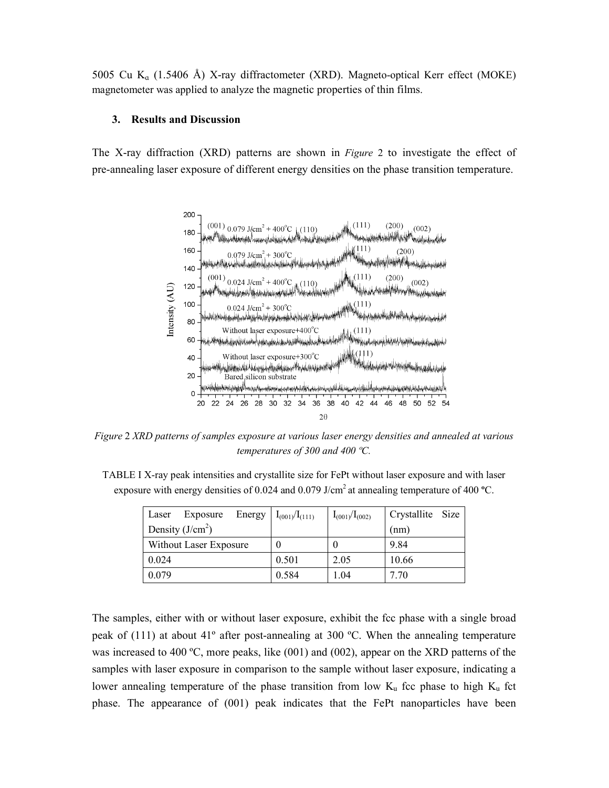5005 Cu K<sub>a</sub> (1.5406 Å) X-ray diffractometer (XRD). Magneto-optical Kerr effect (MOKE) magnetometer was applied to analyze the magnetic properties of thin films.

#### **3. Results and Discussion**

The X-ray diffraction (XRD) patterns are shown in *Figure* 2 to investigate the effect of pre-annealing laser exposure of different energy densities on the phase transition temperature.



*Figure* 2 *XRD patterns of samples exposure at various laser energy densities and annealed at various temperatures of 300 and 400 ºC.* 

TABLE I X-ray peak intensities and crystallite size for FePt without laser exposure and with laser exposure with energy densities of 0.024 and 0.079 J/cm<sup>2</sup> at annealing temperature of 400 °C.

| Laser                  | Exposure | Energy | $I_{(001)}/I_{(111)}$ | $I_{(001)}/I_{(002)}$ | Crystallite Size |  |
|------------------------|----------|--------|-----------------------|-----------------------|------------------|--|
| Density $(J/cm2)$      |          |        |                       |                       | (nm)             |  |
| Without Laser Exposure |          |        |                       | U                     | 9.84             |  |
| 0.024                  |          |        | 0.501                 | 2.05                  | 10.66            |  |
| 0.079                  |          |        | 0.584                 | 1.04                  | 7.70             |  |

The samples, either with or without laser exposure, exhibit the fcc phase with a single broad peak of (111) at about 41º after post-annealing at 300 ºC. When the annealing temperature was increased to 400 °C, more peaks, like (001) and (002), appear on the XRD patterns of the samples with laser exposure in comparison to the sample without laser exposure, indicating a lower annealing temperature of the phase transition from low  $K<sub>u</sub>$  fcc phase to high  $K<sub>u</sub>$  fct phase. The appearance of (001) peak indicates that the FePt nanoparticles have been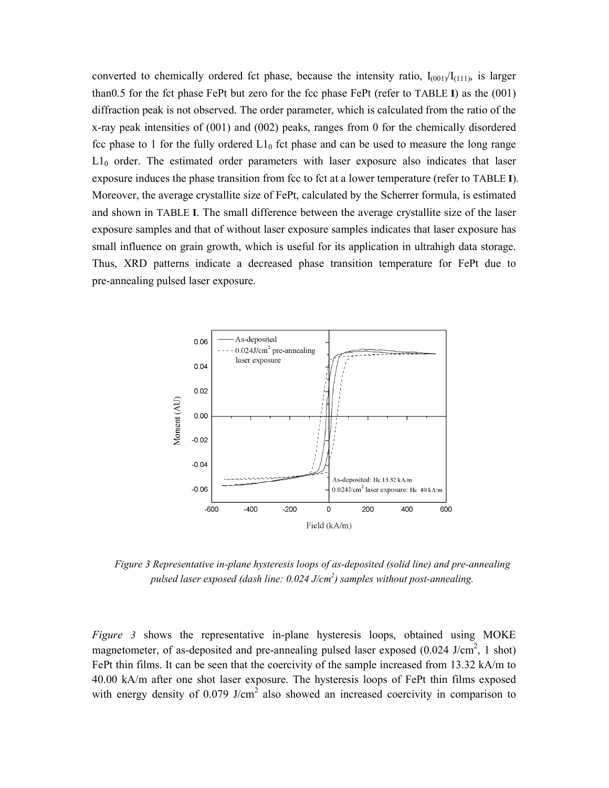converted to chemically ordered fct phase, because the intensity ratio,  $I_{(001)}/I_{(111)}$ , is larger than0.5 for the fct phase FePt but zero for the fcc phase FePt (refer to TABLE **I**) as the (001) diffraction peak is not observed. The order parameter, which is calculated from the ratio of the x-ray peak intensities of (001) and (002) peaks, ranges from 0 for the chemically disordered fcc phase to 1 for the fully ordered  $L1_0$  fct phase and can be used to measure the long range  $L1<sub>0</sub>$  order. The estimated order parameters with laser exposure also indicates that laser exposure induces the phase transition from fcc to fct at a lower temperature (refer to TABLE **I**). Moreover, the average crystallite size of FePt, calculated by the Scherrer formula, is estimated and shown in TABLE **I**. The small difference between the average crystallite size of the laser exposure samples and that of without laser exposure samples indicates that laser exposure has small influence on grain growth, which is useful for its application in ultrahigh data storage. Thus, XRD patterns indicate a decreased phase transition temperature for FePt due to pre-annealing pulsed laser exposure.



*Figure 3 Representative in-plane hysteresis loops of as-deposited (solid line) and pre-annealing pulsed laser exposed (dash line: 0.024 J/cm<sup>2</sup> ) samples without post-annealing.* 

*Figure 3* shows the representative in-plane hysteresis loops, obtained using MOKE magnetometer, of as-deposited and pre-annealing pulsed laser exposed  $(0.024 \text{ J/cm}^2, 1 \text{ shot})$ FePt thin films. It can be seen that the coercivity of the sample increased from 13.32 kA/m to 40.00 kA/m after one shot laser exposure. The hysteresis loops of FePt thin films exposed with energy density of  $0.079$  J/cm<sup>2</sup> also showed an increased coercivity in comparison to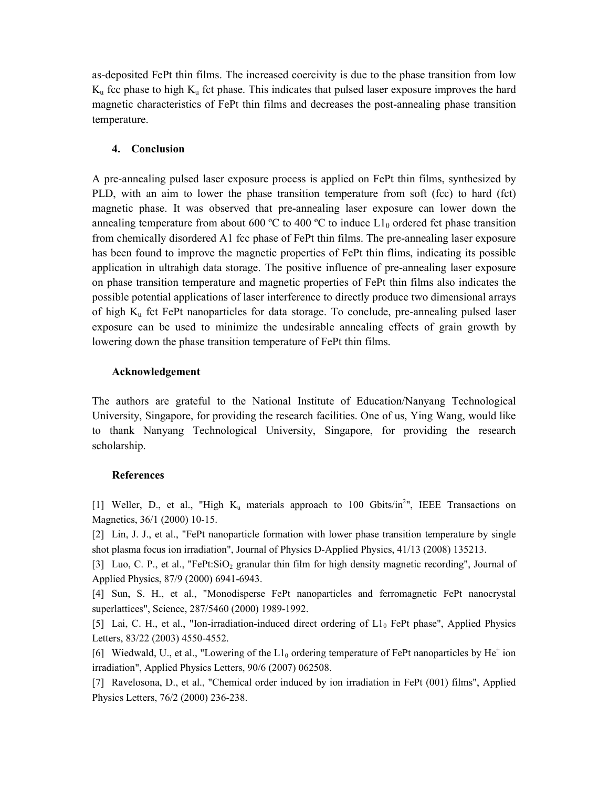as-deposited FePt thin films. The increased coercivity is due to the phase transition from low  $K_u$  fcc phase to high  $K_u$  fct phase. This indicates that pulsed laser exposure improves the hard magnetic characteristics of FePt thin films and decreases the post-annealing phase transition temperature.

## **4. Conclusion**

A pre-annealing pulsed laser exposure process is applied on FePt thin films, synthesized by PLD, with an aim to lower the phase transition temperature from soft (fcc) to hard (fct) magnetic phase. It was observed that pre-annealing laser exposure can lower down the annealing temperature from about 600 °C to 400 °C to induce  $L1_0$  ordered fct phase transition from chemically disordered A1 fcc phase of FePt thin films. The pre-annealing laser exposure has been found to improve the magnetic properties of FePt thin flims, indicating its possible application in ultrahigh data storage. The positive influence of pre-annealing laser exposure on phase transition temperature and magnetic properties of FePt thin films also indicates the possible potential applications of laser interference to directly produce two dimensional arrays of high  $K_u$  fct FePt nanoparticles for data storage. To conclude, pre-annealing pulsed laser exposure can be used to minimize the undesirable annealing effects of grain growth by lowering down the phase transition temperature of FePt thin films.

## **Acknowledgement**

The authors are grateful to the National Institute of Education/Nanyang Technological University, Singapore, for providing the research facilities. One of us, Ying Wang, would like to thank Nanyang Technological University, Singapore, for providing the research scholarship.

## **References**

[1] Weller, D., et al., "High  $K_u$  materials approach to 100 Gbits/in<sup>2</sup>", IEEE Transactions on Magnetics, 36/1 (2000) 10-15.

[2] Lin, J. J., et al., "FePt nanoparticle formation with lower phase transition temperature by single shot plasma focus ion irradiation", Journal of Physics D-Applied Physics, 41/13 (2008) 135213.

[3] Luo, C. P., et al., "FePt:SiO<sub>2</sub> granular thin film for high density magnetic recording", Journal of Applied Physics, 87/9 (2000) 6941-6943.

[4] Sun, S. H., et al., "Monodisperse FePt nanoparticles and ferromagnetic FePt nanocrystal superlattices", Science, 287/5460 (2000) 1989-1992.

[5] Lai, C. H., et al., "Ion-irradiation-induced direct ordering of L1<sub>0</sub> FePt phase", Applied Physics Letters, 83/22 (2003) 4550-4552.

[6] Wiedwald, U., et al., "Lowering of the  $L1_0$  ordering temperature of FePt nanoparticles by He<sup>+</sup> ion irradiation", Applied Physics Letters, 90/6 (2007) 062508.

[7] Ravelosona, D., et al., "Chemical order induced by ion irradiation in FePt (001) films", Applied Physics Letters, 76/2 (2000) 236-238.